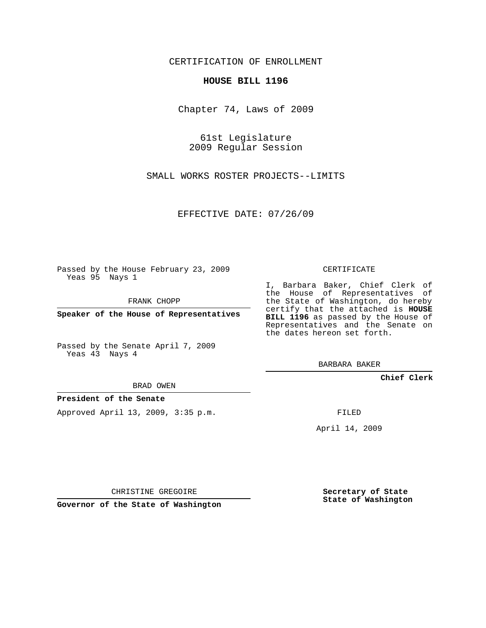CERTIFICATION OF ENROLLMENT

## **HOUSE BILL 1196**

Chapter 74, Laws of 2009

61st Legislature 2009 Regular Session

SMALL WORKS ROSTER PROJECTS--LIMITS

EFFECTIVE DATE: 07/26/09

Passed by the House February 23, 2009 Yeas 95 Nays 1

FRANK CHOPP

**Speaker of the House of Representatives**

Passed by the Senate April 7, 2009 Yeas 43 Nays 4

BRAD OWEN

## **President of the Senate**

Approved April 13, 2009, 3:35 p.m.

CERTIFICATE

I, Barbara Baker, Chief Clerk of the House of Representatives of the State of Washington, do hereby certify that the attached is **HOUSE BILL 1196** as passed by the House of Representatives and the Senate on the dates hereon set forth.

BARBARA BAKER

**Chief Clerk**

FILED

April 14, 2009

CHRISTINE GREGOIRE

**Governor of the State of Washington**

**Secretary of State State of Washington**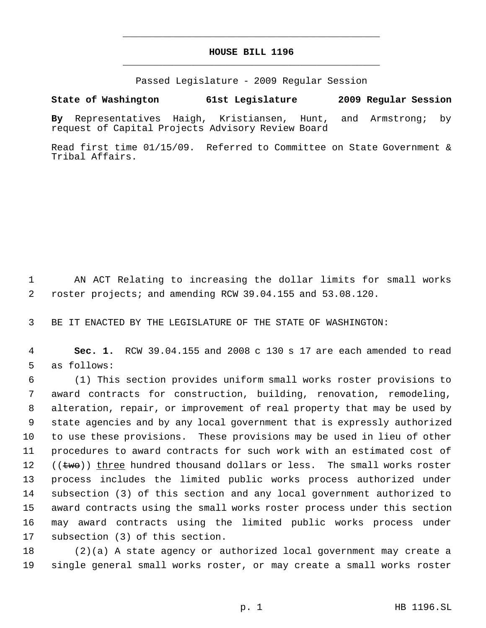## **HOUSE BILL 1196** \_\_\_\_\_\_\_\_\_\_\_\_\_\_\_\_\_\_\_\_\_\_\_\_\_\_\_\_\_\_\_\_\_\_\_\_\_\_\_\_\_\_\_\_\_

\_\_\_\_\_\_\_\_\_\_\_\_\_\_\_\_\_\_\_\_\_\_\_\_\_\_\_\_\_\_\_\_\_\_\_\_\_\_\_\_\_\_\_\_\_

Passed Legislature - 2009 Regular Session

## **State of Washington 61st Legislature 2009 Regular Session**

**By** Representatives Haigh, Kristiansen, Hunt, and Armstrong; by request of Capital Projects Advisory Review Board

Read first time 01/15/09. Referred to Committee on State Government & Tribal Affairs.

 AN ACT Relating to increasing the dollar limits for small works roster projects; and amending RCW 39.04.155 and 53.08.120.

BE IT ENACTED BY THE LEGISLATURE OF THE STATE OF WASHINGTON:

 **Sec. 1.** RCW 39.04.155 and 2008 c 130 s 17 are each amended to read as follows:

 (1) This section provides uniform small works roster provisions to award contracts for construction, building, renovation, remodeling, alteration, repair, or improvement of real property that may be used by state agencies and by any local government that is expressly authorized to use these provisions. These provisions may be used in lieu of other procedures to award contracts for such work with an estimated cost of  $((\text{two})$  [three hundred thousand dollars or less. The small works roster process includes the limited public works process authorized under subsection (3) of this section and any local government authorized to award contracts using the small works roster process under this section may award contracts using the limited public works process under subsection (3) of this section.

 (2)(a) A state agency or authorized local government may create a single general small works roster, or may create a small works roster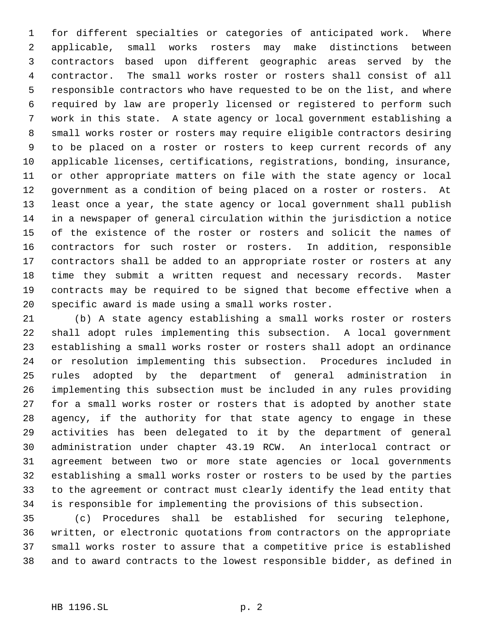for different specialties or categories of anticipated work. Where applicable, small works rosters may make distinctions between contractors based upon different geographic areas served by the contractor. The small works roster or rosters shall consist of all responsible contractors who have requested to be on the list, and where required by law are properly licensed or registered to perform such work in this state. A state agency or local government establishing a small works roster or rosters may require eligible contractors desiring to be placed on a roster or rosters to keep current records of any applicable licenses, certifications, registrations, bonding, insurance, or other appropriate matters on file with the state agency or local government as a condition of being placed on a roster or rosters. At least once a year, the state agency or local government shall publish in a newspaper of general circulation within the jurisdiction a notice of the existence of the roster or rosters and solicit the names of contractors for such roster or rosters. In addition, responsible contractors shall be added to an appropriate roster or rosters at any time they submit a written request and necessary records. Master contracts may be required to be signed that become effective when a specific award is made using a small works roster.

 (b) A state agency establishing a small works roster or rosters shall adopt rules implementing this subsection. A local government establishing a small works roster or rosters shall adopt an ordinance or resolution implementing this subsection. Procedures included in rules adopted by the department of general administration in implementing this subsection must be included in any rules providing for a small works roster or rosters that is adopted by another state agency, if the authority for that state agency to engage in these activities has been delegated to it by the department of general administration under chapter 43.19 RCW. An interlocal contract or agreement between two or more state agencies or local governments establishing a small works roster or rosters to be used by the parties to the agreement or contract must clearly identify the lead entity that is responsible for implementing the provisions of this subsection.

 (c) Procedures shall be established for securing telephone, written, or electronic quotations from contractors on the appropriate small works roster to assure that a competitive price is established and to award contracts to the lowest responsible bidder, as defined in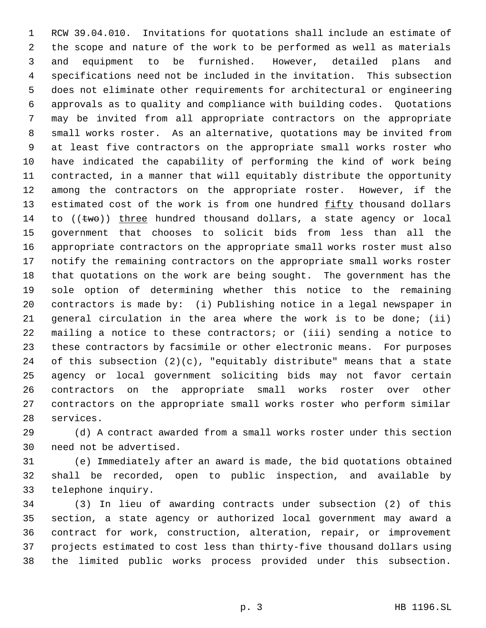RCW 39.04.010. Invitations for quotations shall include an estimate of the scope and nature of the work to be performed as well as materials and equipment to be furnished. However, detailed plans and specifications need not be included in the invitation. This subsection does not eliminate other requirements for architectural or engineering approvals as to quality and compliance with building codes. Quotations may be invited from all appropriate contractors on the appropriate small works roster. As an alternative, quotations may be invited from at least five contractors on the appropriate small works roster who have indicated the capability of performing the kind of work being contracted, in a manner that will equitably distribute the opportunity among the contractors on the appropriate roster. However, if the 13 estimated cost of the work is from one hundred fifty thousand dollars 14 to  $((\text{two}))$  three hundred thousand dollars, a state agency or local government that chooses to solicit bids from less than all the appropriate contractors on the appropriate small works roster must also notify the remaining contractors on the appropriate small works roster that quotations on the work are being sought. The government has the sole option of determining whether this notice to the remaining contractors is made by: (i) Publishing notice in a legal newspaper in general circulation in the area where the work is to be done; (ii) mailing a notice to these contractors; or (iii) sending a notice to these contractors by facsimile or other electronic means. For purposes of this subsection (2)(c), "equitably distribute" means that a state agency or local government soliciting bids may not favor certain contractors on the appropriate small works roster over other contractors on the appropriate small works roster who perform similar services.

 (d) A contract awarded from a small works roster under this section need not be advertised.

 (e) Immediately after an award is made, the bid quotations obtained shall be recorded, open to public inspection, and available by telephone inquiry.

 (3) In lieu of awarding contracts under subsection (2) of this section, a state agency or authorized local government may award a contract for work, construction, alteration, repair, or improvement projects estimated to cost less than thirty-five thousand dollars using the limited public works process provided under this subsection.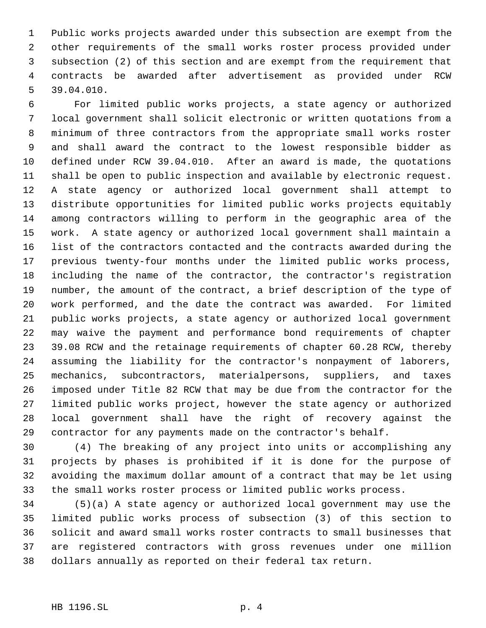Public works projects awarded under this subsection are exempt from the other requirements of the small works roster process provided under subsection (2) of this section and are exempt from the requirement that contracts be awarded after advertisement as provided under RCW 39.04.010.

 For limited public works projects, a state agency or authorized local government shall solicit electronic or written quotations from a minimum of three contractors from the appropriate small works roster and shall award the contract to the lowest responsible bidder as defined under RCW 39.04.010. After an award is made, the quotations shall be open to public inspection and available by electronic request. A state agency or authorized local government shall attempt to distribute opportunities for limited public works projects equitably among contractors willing to perform in the geographic area of the work. A state agency or authorized local government shall maintain a list of the contractors contacted and the contracts awarded during the previous twenty-four months under the limited public works process, including the name of the contractor, the contractor's registration number, the amount of the contract, a brief description of the type of work performed, and the date the contract was awarded. For limited public works projects, a state agency or authorized local government may waive the payment and performance bond requirements of chapter 39.08 RCW and the retainage requirements of chapter 60.28 RCW, thereby assuming the liability for the contractor's nonpayment of laborers, mechanics, subcontractors, materialpersons, suppliers, and taxes imposed under Title 82 RCW that may be due from the contractor for the limited public works project, however the state agency or authorized local government shall have the right of recovery against the contractor for any payments made on the contractor's behalf.

 (4) The breaking of any project into units or accomplishing any projects by phases is prohibited if it is done for the purpose of avoiding the maximum dollar amount of a contract that may be let using the small works roster process or limited public works process.

 (5)(a) A state agency or authorized local government may use the limited public works process of subsection (3) of this section to solicit and award small works roster contracts to small businesses that are registered contractors with gross revenues under one million dollars annually as reported on their federal tax return.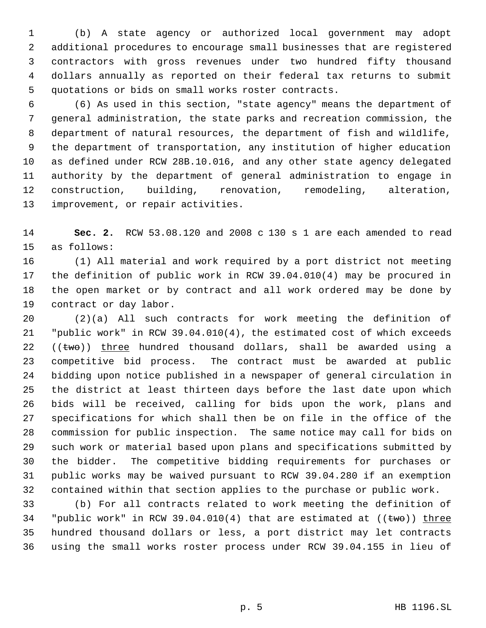(b) A state agency or authorized local government may adopt additional procedures to encourage small businesses that are registered contractors with gross revenues under two hundred fifty thousand dollars annually as reported on their federal tax returns to submit quotations or bids on small works roster contracts.

 (6) As used in this section, "state agency" means the department of general administration, the state parks and recreation commission, the department of natural resources, the department of fish and wildlife, the department of transportation, any institution of higher education as defined under RCW 28B.10.016, and any other state agency delegated authority by the department of general administration to engage in construction, building, renovation, remodeling, alteration, improvement, or repair activities.

 **Sec. 2.** RCW 53.08.120 and 2008 c 130 s 1 are each amended to read as follows:

 (1) All material and work required by a port district not meeting the definition of public work in RCW 39.04.010(4) may be procured in the open market or by contract and all work ordered may be done by contract or day labor.

 (2)(a) All such contracts for work meeting the definition of "public work" in RCW 39.04.010(4), the estimated cost of which exceeds (( $\text{two}$ )) three hundred thousand dollars, shall be awarded using a competitive bid process. The contract must be awarded at public bidding upon notice published in a newspaper of general circulation in the district at least thirteen days before the last date upon which bids will be received, calling for bids upon the work, plans and specifications for which shall then be on file in the office of the commission for public inspection. The same notice may call for bids on such work or material based upon plans and specifications submitted by the bidder. The competitive bidding requirements for purchases or public works may be waived pursuant to RCW 39.04.280 if an exemption contained within that section applies to the purchase or public work.

 (b) For all contracts related to work meeting the definition of 34 "public work" in RCW 39.04.010(4) that are estimated at  $((\text{two}))$  three hundred thousand dollars or less, a port district may let contracts using the small works roster process under RCW 39.04.155 in lieu of